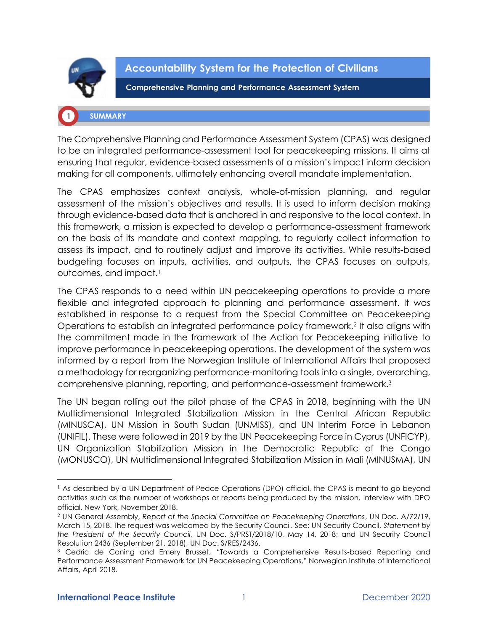

**Accountability System for the Protection of Civilians** 

**Comprehensive Planning and Performance Assessment System** 

# **SUMMARY**

The Comprehensive Planning and Performance Assessment System (CPAS) was designed to be an integrated performance-assessment tool for peacekeeping missions. It aims at ensuring that regular, evidence-based assessments of a mission's impact inform decision making for all components, ultimately enhancing overall mandate implementation.

The CPAS emphasizes context analysis, whole-of-mission planning, and regular assessment of the mission's objectives and results. It is used to inform decision making through evidence-based data that is anchored in and responsive to the local context. In this framework, a mission is expected to develop a performance-assessment framework on the basis of its mandate and context mapping, to regularly collect information to assess its impact, and to routinely adjust and improve its activities. While results-based budgeting focuses on inputs, activities, and outputs, the CPAS focuses on outputs, outcomes, and impact.<sup>1</sup>

The CPAS responds to a need within UN peacekeeping operations to provide a more flexible and integrated approach to planning and performance assessment. It was established in response to a request from the Special Committee on Peacekeeping Operations to establish an integrated performance policy framework.<sup>2</sup> It also aligns with the commitment made in the framework of the Action for Peacekeeping initiative to improve performance in peacekeeping operations. The development of the system was informed by a report from the Norwegian Institute of International Affairs that proposed a methodology for reorganizing performance-monitoring tools into a single, overarching, comprehensive planning, reporting, and performance-assessment framework.<sup>3</sup>

The UN began rolling out the pilot phase of the CPAS in 2018, beginning with the UN Multidimensional Integrated Stabilization Mission in the Central African Republic (MINUSCA), UN Mission in South Sudan (UNMISS), and UN Interim Force in Lebanon (UNIFIL). These were followed in 2019 by the UN Peacekeeping Force in Cyprus (UNFICYP), UN Organization Stabilization Mission in the Democratic Republic of the Congo (MONUSCO), UN Multidimensional Integrated Stabilization Mission in Mali (MINUSMA), UN

<sup>1</sup> As described by a UN Department of Peace Operations (DPO) official, the CPAS is meant to go beyond activities such as the number of workshops or reports being produced by the mission. Interview with DPO official, New York, November 2018.

<sup>2</sup> UN General Assembly, *Report of the Special Committee on Peacekeeping Operations*, UN Doc. A/72/19, March 15, 2018. The request was welcomed by the Security Council. See: UN Security Council, *Statement by the President of the Security Council*, UN Doc. S/PRST/2018/10, May 14, 2018; and UN Security Council Resolution 2436 (September 21, 2018), UN Doc. S/RES/2436.

<sup>&</sup>lt;sup>3</sup> Cedric de Coning and Emery Brusset, "Towards a Comprehensive Results-based Reporting and Performance Assessment Framework for UN Peacekeeping Operations," Norwegian Institute of International Affairs, April 2018.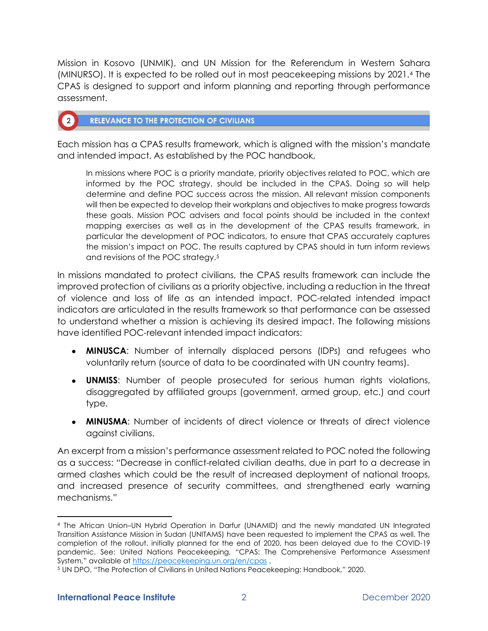Mission in Kosovo (UNMIK), and UN Mission for the Referendum in Western Sahara (MINURSO). It is expected to be rolled out in most peacekeeping missions by 2021.<sup>4</sup> The CPAS is designed to support and inform planning and reporting through performance assessment.

# **RELEVANCE TO THE PROTECTION OF CIVILIANS**

 $\sqrt{2}$ 

Each mission has a CPAS results framework, which is aligned with the mission's mandate and intended impact. As established by the POC handbook,

In missions where POC is a priority mandate, priority objectives related to POC, which are informed by the POC strategy, should be included in the CPAS. Doing so will help determine and define POC success across the mission. All relevant mission components will then be expected to develop their workplans and objectives to make progress towards these goals. Mission POC advisers and focal points should be included in the context mapping exercises as well as in the development of the CPAS results framework, in particular the development of POC indicators, to ensure that CPAS accurately captures the mission's impact on POC. The results captured by CPAS should in turn inform reviews and revisions of the POC strategy.<sup>5</sup>

In missions mandated to protect civilians, the CPAS results framework can include the improved protection of civilians as a priority objective, including a reduction in the threat of violence and loss of life as an intended impact. POC-related intended impact indicators are articulated in the results framework so that performance can be assessed to understand whether a mission is achieving its desired impact. The following missions have identified POC-relevant intended impact indicators:

- **MINUSCA**: Number of internally displaced persons (IDPs) and refugees who voluntarily return (source of data to be coordinated with UN country teams).
- **UNMISS**: Number of people prosecuted for serious human rights violations, disaggregated by affiliated groups (government, armed group, etc.) and court type.
- **MINUSMA**: Number of incidents of direct violence or threats of direct violence against civilians.

An excerpt from a mission's performance assessment related to POC noted the following as a success: "Decrease in conflict-related civilian deaths, due in part to a decrease in armed clashes which could be the result of increased deployment of national troops, and increased presence of security committees, and strengthened early warning mechanisms."

<sup>4</sup> The African Union–UN Hybrid Operation in Darfur (UNAMID) and the newly mandated UN Integrated Transition Assistance Mission in Sudan (UNITAMS) have been requested to implement the CPAS as well. The completion of the rollout, initially planned for the end of 2020, has been delayed due to the COVID-19 pandemic. See: United Nations Peacekeeping, "CPAS: The Comprehensive Performance Assessment System," available at <https://peacekeeping.un.org/en/cpas>.

<sup>5</sup> UN DPO, "The Protection of Civilians in United Nations Peacekeeping: Handbook," 2020.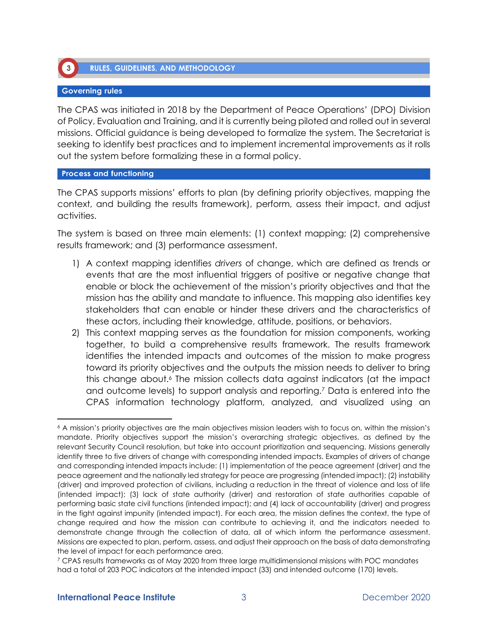

**RULES, GUIDELINES, AND METHODOLOGY** 

# **Governing rules**

The CPAS was initiated in 2018 by the Department of Peace Operations' (DPO) Division of Policy, Evaluation and Training, and it is currently being piloted and rolled out in several missions. Official guidance is being developed to formalize the system. The Secretariat is seeking to identify best practices and to implement incremental improvements as it rolls out the system before formalizing these in a formal policy.

## **Process and functioning**

The CPAS supports missions' efforts to plan (by defining priority objectives, mapping the context, and building the results framework), perform, assess their impact, and adjust activities.

The system is based on three main elements: (1) context mapping; (2) comprehensive results framework; and (3) performance assessment.

- 1) A context mapping identifies *drivers* of change, which are defined as trends or events that are the most influential triggers of positive or negative change that enable or block the achievement of the mission's priority objectives and that the mission has the ability and mandate to influence. This mapping also identifies key stakeholders that can enable or hinder these drivers and the characteristics of these actors, including their knowledge, attitude, positions, or behaviors.
- 2) This context mapping serves as the foundation for mission components, working together, to build a comprehensive results framework. The results framework identifies the intended impacts and outcomes of the mission to make progress toward its priority objectives and the outputs the mission needs to deliver to bring this change about.<sup>6</sup> The mission collects data against indicators (at the impact and outcome levels) to support analysis and reporting.<sup>7</sup> Data is entered into the CPAS information technology platform, analyzed, and visualized using an

<sup>6</sup> A mission's priority objectives are the main objectives mission leaders wish to focus on, within the mission's mandate. Priority objectives support the mission's overarching strategic objectives, as defined by the relevant Security Council resolution, but take into account prioritization and sequencing. Missions generally identify three to five drivers of change with corresponding intended impacts. Examples of drivers of change and corresponding intended impacts include: (1) implementation of the peace agreement (driver) and the peace agreement and the nationally led strategy for peace are progressing (intended impact); (2) instability (driver) and improved protection of civilians, including a reduction in the threat of violence and loss of life (intended impact); (3) lack of state authority (driver) and restoration of state authorities capable of performing basic state civil functions (intended impact); and (4) lack of accountability (driver) and progress in the fight against impunity (intended impact). For each area, the mission defines the context, the type of change required and how the mission can contribute to achieving it, and the indicators needed to demonstrate change through the collection of data, all of which inform the performance assessment. Missions are expected to plan, perform, assess, and adjust their approach on the basis of data demonstrating the level of impact for each performance area.

<sup>7</sup> CPAS results frameworks as of May 2020 from three large multidimensional missions with POC mandates had a total of 203 POC indicators at the intended impact (33) and intended outcome (170) levels.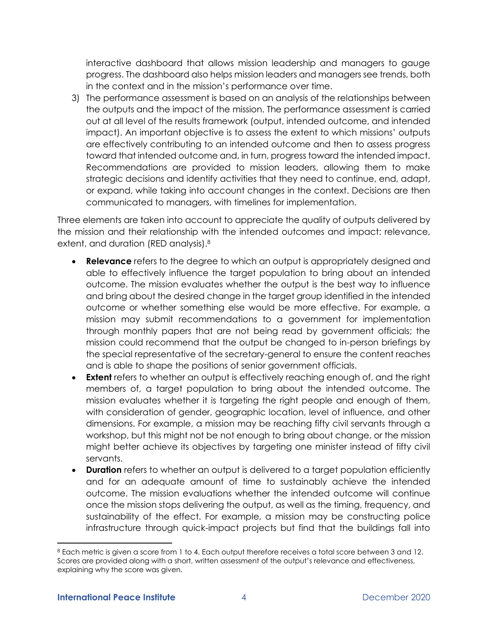interactive dashboard that allows mission leadership and managers to gauge progress. The dashboard also helps mission leaders and managers see trends, both in the context and in the mission's performance over time.

3) The performance assessment is based on an analysis of the relationships between the outputs and the impact of the mission. The performance assessment is carried out at all level of the results framework (output, intended outcome, and intended impact). An important objective is to assess the extent to which missions' outputs are effectively contributing to an intended outcome and then to assess progress toward that intended outcome and, in turn, progress toward the intended impact. Recommendations are provided to mission leaders, allowing them to make strategic decisions and identify activities that they need to continue, end, adapt, or expand, while taking into account changes in the context. Decisions are then communicated to managers, with timelines for implementation.

Three elements are taken into account to appreciate the quality of outputs delivered by the mission and their relationship with the intended outcomes and impact: relevance, extent, and duration (RED analysis).<sup>8</sup>

- **Relevance** refers to the degree to which an output is appropriately designed and able to effectively influence the target population to bring about an intended outcome. The mission evaluates whether the output is the best way to influence and bring about the desired change in the target group identified in the intended outcome or whether something else would be more effective. For example, a mission may submit recommendations to a government for implementation through monthly papers that are not being read by government officials; the mission could recommend that the output be changed to in-person briefings by the special representative of the secretary-general to ensure the content reaches and is able to shape the positions of senior government officials.
- **Extent** refers to whether an output is effectively reaching enough of, and the right members of, a target population to bring about the intended outcome. The mission evaluates whether it is targeting the right people and enough of them, with consideration of gender, geographic location, level of influence, and other dimensions. For example, a mission may be reaching fifty civil servants through a workshop, but this might not be not enough to bring about change, or the mission might better achieve its objectives by targeting one minister instead of fifty civil servants.
- **Duration** refers to whether an output is delivered to a target population efficiently and for an adequate amount of time to sustainably achieve the intended outcome. The mission evaluations whether the intended outcome will continue once the mission stops delivering the output, as well as the timing, frequency, and sustainability of the effect. For example, a mission may be constructing police infrastructure through quick-impact projects but find that the buildings fall into

<sup>8</sup> Each metric is given a score from 1 to 4. Each output therefore receives a total score between 3 and 12. Scores are provided along with a short, written assessment of the output's relevance and effectiveness, explaining why the score was given.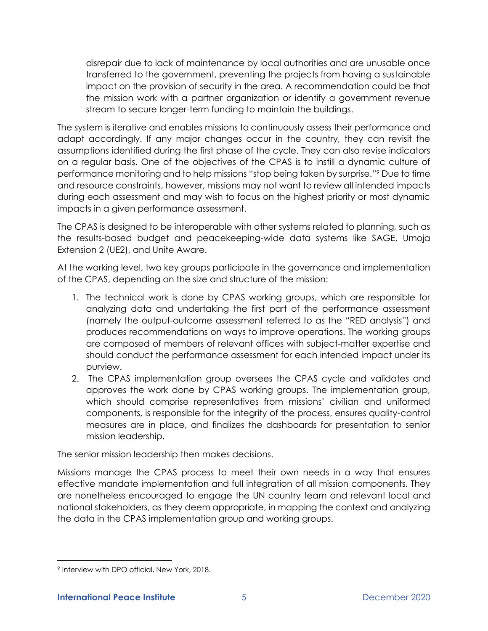disrepair due to lack of maintenance by local authorities and are unusable once transferred to the government, preventing the projects from having a sustainable impact on the provision of security in the area. A recommendation could be that the mission work with a partner organization or identify a government revenue stream to secure longer-term funding to maintain the buildings.

The system is iterative and enables missions to continuously assess their performance and adapt accordingly. If any major changes occur in the country, they can revisit the assumptions identified during the first phase of the cycle. They can also revise indicators on a regular basis. One of the objectives of the CPAS is to instill a dynamic culture of performance monitoring and to help missions "stop being taken by surprise."<sup>9</sup> Due to time and resource constraints, however, missions may not want to review all intended impacts during each assessment and may wish to focus on the highest priority or most dynamic impacts in a given performance assessment.

The CPAS is designed to be interoperable with other systems related to planning, such as the results-based budget and peacekeeping-wide data systems like SAGE, Umoja Extension 2 (UE2), and Unite Aware.

At the working level, two key groups participate in the governance and implementation of the CPAS, depending on the size and structure of the mission:

- 1. The technical work is done by CPAS working groups, which are responsible for analyzing data and undertaking the first part of the performance assessment (namely the output-outcome assessment referred to as the "RED analysis") and produces recommendations on ways to improve operations. The working groups are composed of members of relevant offices with subject-matter expertise and should conduct the performance assessment for each intended impact under its purview.
- 2. The CPAS implementation group oversees the CPAS cycle and validates and approves the work done by CPAS working groups. The implementation group, which should comprise representatives from missions' civilian and uniformed components, is responsible for the integrity of the process, ensures quality-control measures are in place, and finalizes the dashboards for presentation to senior mission leadership.

The senior mission leadership then makes decisions.

Missions manage the CPAS process to meet their own needs in a way that ensures effective mandate implementation and full integration of all mission components. They are nonetheless encouraged to engage the UN country team and relevant local and national stakeholders, as they deem appropriate, in mapping the context and analyzing the data in the CPAS implementation group and working groups.

<sup>9</sup> Interview with DPO official, New York, 2018.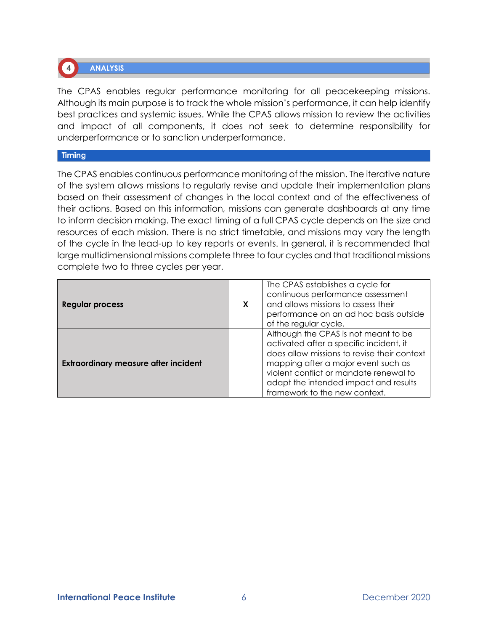

**ANALYSIS** 

The CPAS enables regular performance monitoring for all peacekeeping missions. Although its main purpose is to track the whole mission's performance, it can help identify best practices and systemic issues. While the CPAS allows mission to review the activities and impact of all components, it does not seek to determine responsibility for underperformance or to sanction underperformance.

## **Timing**

The CPAS enables continuous performance monitoring of the mission. The iterative nature of the system allows missions to regularly revise and update their implementation plans based on their assessment of changes in the local context and of the effectiveness of their actions. Based on this information, missions can generate dashboards at any time to inform decision making. The exact timing of a full CPAS cycle depends on the size and resources of each mission. There is no strict timetable, and missions may vary the length of the cycle in the lead-up to key reports or events. In general, it is recommended that large multidimensional missions complete three to four cycles and that traditional missions complete two to three cycles per year.

| <b>Regular process</b>                      | X | The CPAS establishes a cycle for<br>continuous performance assessment<br>and allows missions to assess their<br>performance on an ad hoc basis outside<br>of the regular cycle.                                                                                                           |
|---------------------------------------------|---|-------------------------------------------------------------------------------------------------------------------------------------------------------------------------------------------------------------------------------------------------------------------------------------------|
| <b>Extraordinary measure after incident</b> |   | Although the CPAS is not meant to be<br>activated after a specific incident, it<br>does allow missions to revise their context<br>mapping after a major event such as<br>violent conflict or mandate renewal to<br>adapt the intended impact and results<br>framework to the new context. |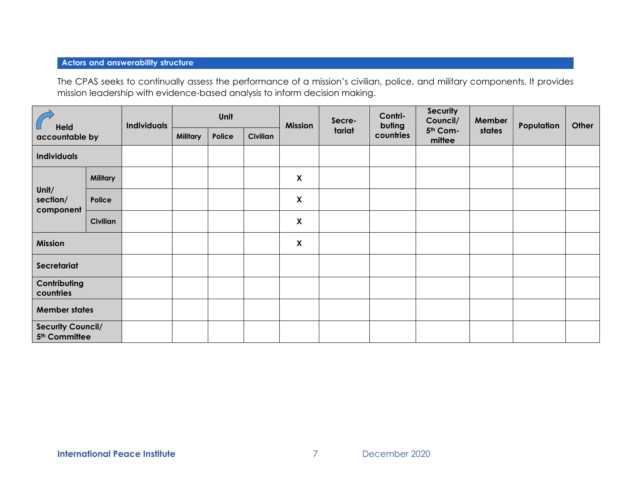# **Actors and answerability structure**

The CPAS seeks to continually assess the performance of a mission's civilian, police, and military components. It provides mission leadership with evidence-based analysis to inform decision making.

| Held<br>accountable by                                |                 | <b>Individuals</b> | Unit            |        | <b>Mission</b>  | Secre-                    | Contri-<br>buting | <b>Security</b><br>Council/ | Member             | Population | Other |  |
|-------------------------------------------------------|-----------------|--------------------|-----------------|--------|-----------------|---------------------------|-------------------|-----------------------------|--------------------|------------|-------|--|
|                                                       |                 |                    | <b>Military</b> | Police | <b>Civilian</b> |                           | tariat            | countries                   | 5th Com-<br>mittee | states     |       |  |
| <b>Individuals</b>                                    |                 |                    |                 |        |                 |                           |                   |                             |                    |            |       |  |
|                                                       | <b>Military</b> |                    |                 |        |                 | $\pmb{\mathsf{X}}$        |                   |                             |                    |            |       |  |
| Unit/<br>section/<br>component                        | Police          |                    |                 |        |                 | X                         |                   |                             |                    |            |       |  |
|                                                       | <b>Civilian</b> |                    |                 |        |                 | $\boldsymbol{\mathsf{X}}$ |                   |                             |                    |            |       |  |
| <b>Mission</b>                                        |                 |                    |                 |        |                 | $\boldsymbol{\mathsf{X}}$ |                   |                             |                    |            |       |  |
| Secretariat                                           |                 |                    |                 |        |                 |                           |                   |                             |                    |            |       |  |
| Contributing<br>countries                             |                 |                    |                 |        |                 |                           |                   |                             |                    |            |       |  |
| <b>Member states</b>                                  |                 |                    |                 |        |                 |                           |                   |                             |                    |            |       |  |
| <b>Security Council/</b><br>5 <sup>th</sup> Committee |                 |                    |                 |        |                 |                           |                   |                             |                    |            |       |  |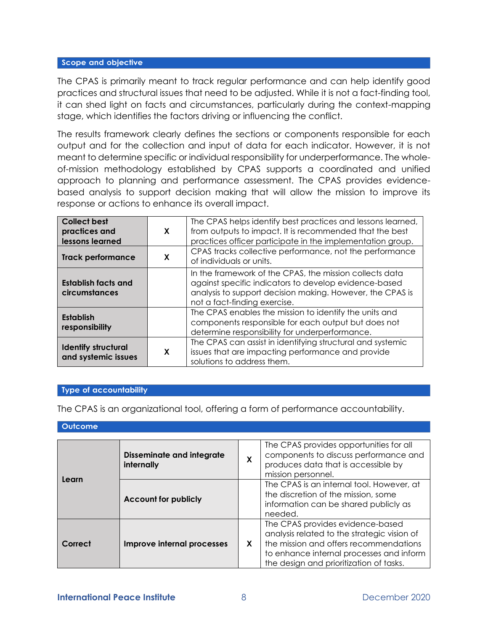#### Scope and objective

The CPAS is primarily meant to track regular performance and can help identify good practices and structural issues that need to be adjusted. While it is not a fact-finding tool, it can shed light on facts and circumstances, particularly during the context-mapping stage, which identifies the factors driving or influencing the conflict.

The results framework clearly defines the sections or components responsible for each output and for the collection and input of data for each indicator. However, it is not meant to determine specific or individual responsibility for underperformance. The wholeof-mission methodology established by CPAS supports a coordinated and unified approach to planning and performance assessment. The CPAS provides evidencebased analysis to support decision making that will allow the mission to improve its response or actions to enhance its overall impact.

| <b>Collect best</b><br>practices and<br>lessons learned | X | The CPAS helps identify best practices and lessons learned,<br>from outputs to impact. It is recommended that the best<br>practices officer participate in the implementation group.                          |
|---------------------------------------------------------|---|---------------------------------------------------------------------------------------------------------------------------------------------------------------------------------------------------------------|
| <b>Track performance</b>                                | X | CPAS tracks collective performance, not the performance<br>of individuals or units.                                                                                                                           |
| <b>Establish facts and</b><br>circumstances             |   | In the framework of the CPAS, the mission collects data<br>against specific indicators to develop evidence-based<br>analysis to support decision making. However, the CPAS is<br>not a fact-finding exercise. |
| <b>Establish</b><br>responsibility                      |   | The CPAS enables the mission to identify the units and<br>components responsible for each output but does not<br>determine responsibility for underperformance.                                               |
| <b>Identify structural</b><br>and systemic issues       | X | The CPAS can assist in identifying structural and systemic<br>issues that are impacting performance and provide<br>solutions to address them.                                                                 |

## **Type of accountability**

The CPAS is an organizational tool, offering a form of performance accountability.

|  |  | <b>Outcome</b> |  |  |
|--|--|----------------|--|--|
|--|--|----------------|--|--|

| Learn   | <b>Disseminate and integrate</b><br>internally | X | The CPAS provides opportunities for all<br>components to discuss performance and<br>produces data that is accessible by<br>mission personnel.                                                                    |  |  |
|---------|------------------------------------------------|---|------------------------------------------------------------------------------------------------------------------------------------------------------------------------------------------------------------------|--|--|
|         | <b>Account for publicly</b>                    |   | The CPAS is an internal tool. However, at<br>the discretion of the mission, some<br>information can be shared publicly as<br>needed.                                                                             |  |  |
| Correct | Improve internal processes                     | X | The CPAS provides evidence-based<br>analysis related to the strategic vision of<br>the mission and offers recommendations<br>to enhance internal processes and inform<br>the design and prioritization of tasks. |  |  |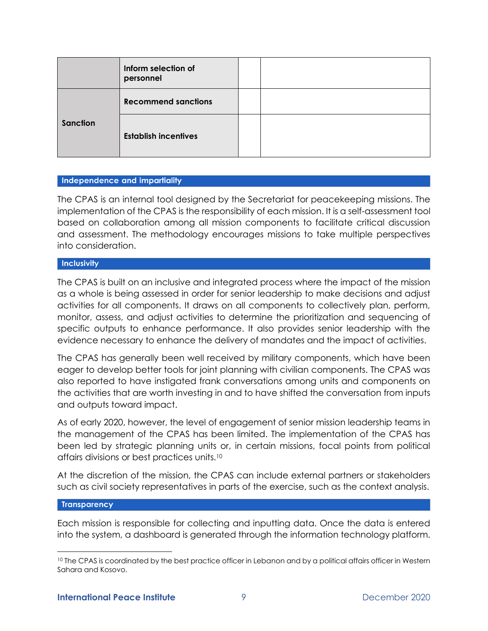|          | Inform selection of<br>personnel |  |
|----------|----------------------------------|--|
| Sanction | <b>Recommend sanctions</b>       |  |
|          | <b>Establish incentives</b>      |  |

## Independence and impartiality

The CPAS is an internal tool designed by the Secretariat for peacekeeping missions. The implementation of the CPAS is the responsibility of each mission. It is a self-assessment tool based on collaboration among all mission components to facilitate critical discussion and assessment. The methodology encourages missions to take multiple perspectives into consideration.

# **Inclusivity**

The CPAS is built on an inclusive and integrated process where the impact of the mission as a whole is being assessed in order for senior leadership to make decisions and adjust activities for all components. It draws on all components to collectively plan, perform, monitor, assess, and adjust activities to determine the prioritization and sequencing of specific outputs to enhance performance. It also provides senior leadership with the evidence necessary to enhance the delivery of mandates and the impact of activities.

The CPAS has generally been well received by military components, which have been eager to develop better tools for joint planning with civilian components. The CPAS was also reported to have instigated frank conversations among units and components on the activities that are worth investing in and to have shifted the conversation from inputs and outputs toward impact.

As of early 2020, however, the level of engagement of senior mission leadership teams in the management of the CPAS has been limited. The implementation of the CPAS has been led by strategic planning units or, in certain missions, focal points from political affairs divisions or best practices units.<sup>10</sup>

At the discretion of the mission, the CPAS can include external partners or stakeholders such as civil society representatives in parts of the exercise, such as the context analysis.

## **Transparency**

Each mission is responsible for collecting and inputting data. Once the data is entered into the system, a dashboard is generated through the information technology platform.

<sup>&</sup>lt;sup>10</sup> The CPAS is coordinated by the best practice officer in Lebanon and by a political affairs officer in Western Sahara and Kosovo.